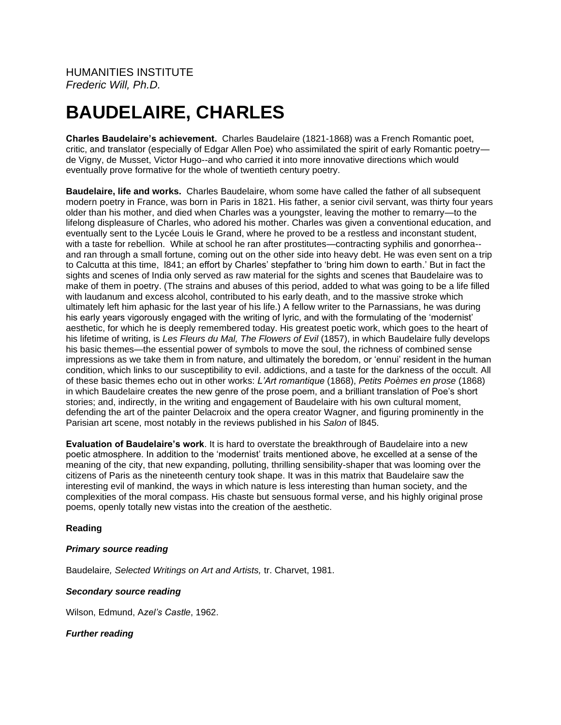# **BAUDELAIRE, CHARLES**

**Charles Baudelaire's achievement.** Charles Baudelaire (1821-1868) was a French Romantic poet, critic, and translator (especially of Edgar Allen Poe) who assimilated the spirit of early Romantic poetry de Vigny, de Musset, Victor Hugo--and who carried it into more innovative directions which would eventually prove formative for the whole of twentieth century poetry.

**Baudelaire, life and works.** Charles Baudelaire, whom some have called the father of all subsequent modern poetry in France, was born in Paris in 1821. His father, a senior civil servant, was thirty four years older than his mother, and died when Charles was a youngster, leaving the mother to remarry—to the lifelong displeasure of Charles, who adored his mother. Charles was given a conventional education, and eventually sent to the Lycée Louis le Grand, where he proved to be a restless and inconstant student, with a taste for rebellion. While at school he ran after prostitutes—contracting syphilis and gonorrhea- and ran through a small fortune, coming out on the other side into heavy debt. He was even sent on a trip to Calcutta at this time, l841; an effort by Charles' stepfather to 'bring him down to earth.' But in fact the sights and scenes of India only served as raw material for the sights and scenes that Baudelaire was to make of them in poetry. (The strains and abuses of this period, added to what was going to be a life filled with laudanum and excess alcohol, contributed to his early death, and to the massive stroke which ultimately left him aphasic for the last year of his life.) A fellow writer to the Parnassians, he was during his early years vigorously engaged with the writing of lyric, and with the formulating of the 'modernist' aesthetic, for which he is deeply remembered today. His greatest poetic work, which goes to the heart of his lifetime of writing, is *Les Fleurs du Mal, The Flowers of Evil* (1857), in which Baudelaire fully develops his basic themes—the essential power of symbols to move the soul, the richness of combined sense impressions as we take them in from nature, and ultimately the boredom, or 'ennui' resident in the human condition, which links to our susceptibility to evil. addictions, and a taste for the darkness of the occult. All of these basic themes echo out in other works: *L'Art romantique* (1868), *Petits Poèmes en prose* (1868) in which Baudelaire creates the new genre of the prose poem, and a brilliant translation of Poe's short stories; and, indirectly, in the writing and engagement of Baudelaire with his own cultural moment, defending the art of the painter Delacroix and the opera creator Wagner, and figuring prominently in the Parisian art scene, most notably in the reviews published in his *Salon* of l845.

**Evaluation of Baudelaire's work**. It is hard to overstate the breakthrough of Baudelaire into a new poetic atmosphere. In addition to the 'modernist' traits mentioned above, he excelled at a sense of the meaning of the city, that new expanding, polluting, thrilling sensibility-shaper that was looming over the citizens of Paris as the nineteenth century took shape. It was in this matrix that Baudelaire saw the interesting evil of mankind, the ways in which nature is less interesting than human society, and the complexities of the moral compass. His chaste but sensuous formal verse, and his highly original prose poems, openly totally new vistas into the creation of the aesthetic.

# **Reading**

## *Primary source reading*

Baudelaire*, Selected Writings on Art and Artists,* tr. Charvet, 1981.

# *Secondary source reading*

Wilson, Edmund, A*zel's Castle*, 1962.

*Further reading*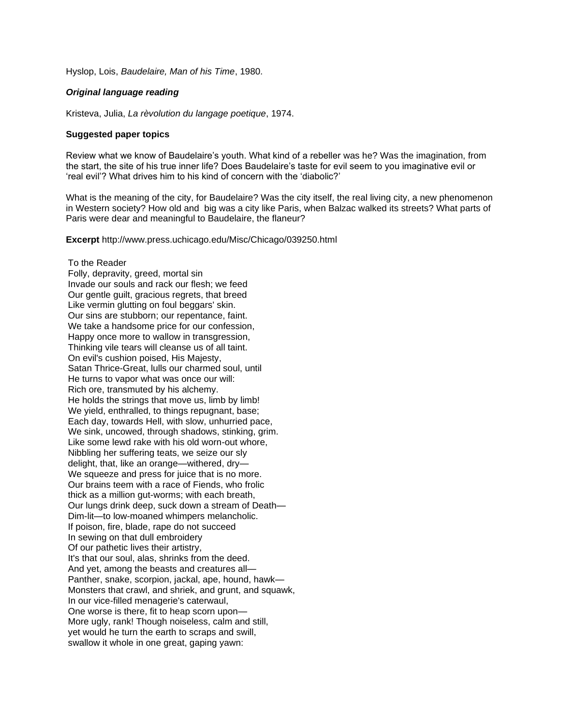Hyslop, Lois, *Baudelaire, Man of his Time*, 1980.

### *Original language reading*

Kristeva, Julia, *La rèvolution du langage poetique*, 1974.

#### **Suggested paper topics**

Review what we know of Baudelaire's youth. What kind of a rebeller was he? Was the imagination, from the start, the site of his true inner life? Does Baudelaire's taste for evil seem to you imaginative evil or 'real evil'? What drives him to his kind of concern with the 'diabolic?'

What is the meaning of the city, for Baudelaire? Was the city itself, the real living city, a new phenomenon in Western society? How old and big was a city like Paris, when Balzac walked its streets? What parts of Paris were dear and meaningful to Baudelaire, the flaneur?

**Excerpt** http://www.press.uchicago.edu/Misc/Chicago/039250.html

#### To the Reader

Folly, depravity, greed, mortal sin Invade our souls and rack our flesh; we feed Our gentle guilt, gracious regrets, that breed Like vermin glutting on foul beggars' skin. Our sins are stubborn; our repentance, faint. We take a handsome price for our confession, Happy once more to wallow in transgression, Thinking vile tears will cleanse us of all taint. On evil's cushion poised, His Majesty, Satan Thrice-Great, lulls our charmed soul, until He turns to vapor what was once our will: Rich ore, transmuted by his alchemy. He holds the strings that move us, limb by limb! We vield, enthralled, to things repugnant, base; Each day, towards Hell, with slow, unhurried pace, We sink, uncowed, through shadows, stinking, grim. Like some lewd rake with his old worn-out whore, Nibbling her suffering teats, we seize our sly delight, that, like an orange—withered, dry— We squeeze and press for juice that is no more. Our brains teem with a race of Fiends, who frolic thick as a million gut-worms; with each breath, Our lungs drink deep, suck down a stream of Death— Dim-lit—to low-moaned whimpers melancholic. If poison, fire, blade, rape do not succeed In sewing on that dull embroidery Of our pathetic lives their artistry, It's that our soul, alas, shrinks from the deed. And yet, among the beasts and creatures all— Panther, snake, scorpion, jackal, ape, hound, hawk— Monsters that crawl, and shriek, and grunt, and squawk, In our vice-filled menagerie's caterwaul, One worse is there, fit to heap scorn upon— More ugly, rank! Though noiseless, calm and still, yet would he turn the earth to scraps and swill, swallow it whole in one great, gaping yawn: